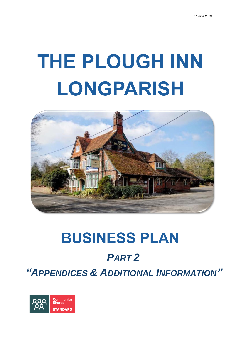# **THE PLOUGH INN LONGPARISH**



# **BUSINESS PLAN** *PART 2 "APPENDICES & ADDITIONAL INFORMATION"*

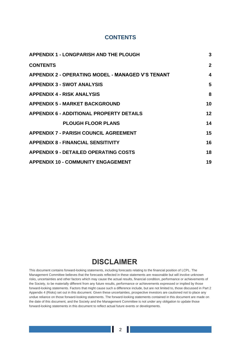# **CONTENTS**

<span id="page-1-0"></span>

| <b>APPENDIX 1 - LONGPARISH AND THE PLOUGH</b>            | 3              |
|----------------------------------------------------------|----------------|
| <b>CONTENTS</b>                                          | $\overline{2}$ |
| <b>APPENDIX 2 - OPERATING MODEL - MANAGED V'S TENANT</b> | 4              |
| <b>APPENDIX 3 - SWOT ANALYSIS</b>                        | 5              |
| <b>APPENDIX 4 - RISK ANALYSIS</b>                        | 8              |
| <b>APPENDIX 5 - MARKET BACKGROUND</b>                    | 10             |
| <b>APPENDIX 6 - ADDITIONAL PROPERTY DETAILS</b>          | 12             |
| <b>PLOUGH FLOOR PLANS</b>                                | 14             |
| <b>APPENDIX 7 - PARISH COUNCIL AGREEMENT</b>             | 15             |
| <b>APPENDIX 8 - FINANCIAL SENSITIVITY</b>                | 16             |
| <b>APPENDIX 9 - DETAILED OPERATING COSTS</b>             | 18             |
| <b>APPENDIX 10 - COMMUNITY ENGAGEMENT</b>                | 19             |

# **DISCLAIMER**

This document contains forward-looking statements, including forecasts relating to the financial position of LCPL. The Management Committee believes that the forecasts reflected in these statements are reasonable but will involve unknown risks, uncertainties and other factors which may cause the actual results, financial condition, performance or achievements of the Society, to be materially different from any future results, performance or achievements expressed or implied by those forward-looking statements. Factors that might cause such a difference include, but are not limited to, those discussed in Part 2 Appendix 4 (Risks) set out in this document. Given these uncertainties, prospective investors are cautioned not to place any undue reliance on those forward-looking statements. The forward-looking statements contained in this document are made on the date of this document, and the Society and the Management Committee is not under any obligation to update those forward-looking statements in this document to reflect actual future events or developments.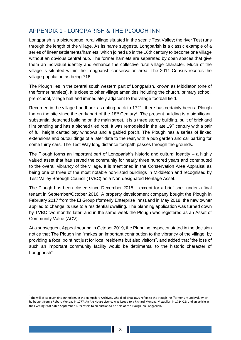# APPENDIX 1 - LONGPARISH & THE PLOUGH INN

Longparish is a picturesque, rural village situated in the scenic Test Valley; the river Test runs through the length of the village. As its name suggests, Longparish is a classic example of a series of linear settlements/hamlets, which joined up in the 16th century to become one village without an obvious central hub. The former hamlets are separated by open spaces that give them an individual identity and enhance the collective rural village character. Much of the village is situated within the Longparish conservation area. The 2011 Census records the village population as being 716.

The Plough lies in the central south western part of Longparish, known as Middleton (one of the former hamlets). It is close to other village amenities including the church, primary school, pre-school, village hall and immediately adjacent to the village football field.

Recorded in the village handbook as dating back to 1721, there has certainly been a Plough Inn on the site since the early part of the  $18<sup>th</sup>$  Century<sup>1</sup>. The present building is a significant, substantial detached building on the main street. It is a three storey building, built of brick and flint banding and has a pitched tiled roof. It was remodeled in the late  $19<sup>th</sup>$  century with a pair of full height canted bay windows and a gabled porch. The Plough has a series of linked extensions and outbuildings of a later date to the rear, with a pub garden and car parking for some thirty cars. The Test Way long distance footpath passes through the grounds.

The Plough forms an important part of Longparish's historic and cultural identity – a highly valued asset that has served the community for nearly three hundred years and contributed to the overall vibrancy of the village. It is mentioned in the Conservation Area Appraisal as being one of three of the most notable non-listed buildings in Middleton and recognised by Test Valley Borough Council (TVBC) as a Non-designated Heritage Asset.

The Plough has been closed since December 2015 – except for a brief spell under a final tenant in September/October 2016. A property development company bought the Plough in February 2017 from the EI Group (formerly Enterprise Inns).and in May 2018, the new owner applied to change its use to a residential dwelling. The planning application was turned down by TVBC two months later; and in the same week the Plough was registered as an Asset of Community Value (ACV).

At a subsequent Appeal hearing in October 2019, the Planning Inspector stated in the decision notice that The Plough Inn "makes an important contribution to the vibrancy of the village, by providing a focal point not just for local residents but also visitors", and added that "the loss of such an important community facility would be detrimental to the historic character of Longparish".

<sup>&</sup>lt;sup>1</sup>The will of Isaac Jenkins, Innholder, in the Hampshire Archives, who died circa 1879 refers to the Plough Inn [formerly Mundays], which he bought from a Robert Munday in 1777. An Ale House Licence was issued to a Richard Munday, Victualler, in 1724/26; and an article in the Evening Post dated September 1759 refers to an auction to be held at the Plough Inn Longparish.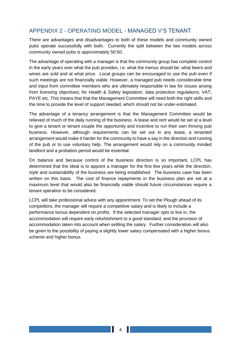# <span id="page-3-0"></span>APPENDIX 2 - OPERATING MODEL - MANAGED V'S TENANT

There are advantages and disadvantages to both of these models and community owned pubs operate successfully with both. Currently the split between the two models across community owned pubs is approximately 50:50.

The advantage of operating with a manager is that the community group has complete control in the early years over what the pub provides, i.e. what the menus should be; what beers and wines are sold and at what price. Local groups can be encouraged to use the pub even if such meetings are not financially viable. However, a managed pub needs considerable time and input from committee members who are ultimately responsible in law for issues arising from licensing objectives; for Health & Safety legislation; data protection regulations; VAT; PAYE etc. This means that that the Management Committee will need both the right skills and the time to provide the level of support needed, which should not be under-estimated.

The advantage of a tenancy arrangement is that the Management Committee would be relieved of much of the daily running of the business. A lease and rent would be set at a level to give a tenant or tenant couple the opportunity and incentive to run their own thriving pub business. However, although requirements can be set out in any lease, a tenanted arrangement would make it harder for the community to have a say in the direction and running of the pub or to use voluntary help. The arrangement would rely on a community minded landlord and a probation period would be essential.

On balance and because control of the business direction is so important, LCPL has determined that the ideal is to appoint a manager for the first few years while the direction, style and sustainability of the business are being established. The business case has been written on this basis. The cost of finance repayments in the business plan are set at a maximum level that would also be financially viable should future circumstances require a tenant operation to be considered.

LCPL will take professional advice with any appointment. To set the Plough ahead of its competitors, the manager will require a competitive salary and is likely to include a performance bonus dependent on profits. If the selected manager opts to live in, the accommodation will require early refurbishment to a good standard; and the provision of accommodation taken into account when settling the salary. Further consideration will also be given to the possibility of paying a slightly lower salary compensated with a higher bonus scheme and higher bonus.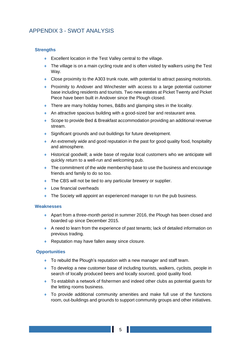# <span id="page-4-0"></span>APPENDIX 3 - SWOT ANALYSIS

# **Strengths**

- ◆ Excellent location in the Test Valley central to the village.
- The village is on a main cycling route and is often visited by walkers using the Test Way.
- Close proximity to the A303 trunk route, with potential to attract passing motorists.
- Proximity to Andover and Winchester with access to a large potential customer base including residents and tourists. Two new estates at Picket Twenty and Picket Piece have been built in Andover since the Plough closed.
- ◆ There are many holiday homes, B&Bs and glamping sites in the locality.
- An attractive spacious building with a good-sized bar and restaurant area.
- ◆ Scope to provide Bed & Breakfast accommodation providing an additional revenue stream.
- ◆ Significant grounds and out-buildings for future development.
- An extremely wide and good reputation in the past for good quality food, hospitality and atmosphere.
- Historical goodwill; a wide base of regular local customers who we anticipate will quickly return to a well-run and welcoming pub.
- The commitment of the wide membership base to use the business and encourage friends and family to do so too.
- ◆ The CBS will not be tied to any particular brewery or supplier.
- ◆ Low financial overheads
- ◆ The Society will appoint an experienced manager to run the pub business.

#### **Weaknesses**

- Apart from a three-month period in summer 2016, the Plough has been closed and boarded up since December 2015.
- A need to learn from the experience of past tenants; lack of detailed information on previous trading.
- ◆ Reputation may have fallen away since closure.

#### **Opportunities**

- ◆ To rebuild the Plough's reputation with a new manager and staff team.
- ◆ To develop a new customer base of including tourists, walkers, cyclists, people in search of locally produced beers and locally sourced, good quality food.
- ◆ To establish a network of fishermen and indeed other clubs as potential guests for the letting rooms business.
- To provide additional community amenities and make full use of the functions room, out-buildings and grounds to support community groups and other initiatives.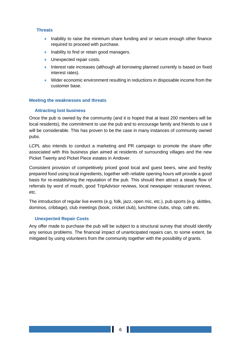#### **Threats**

- Inability to raise the minimum share funding and or secure enough other finance required to proceed with purchase.
- $\bullet$  Inability to find or retain good managers.
- ◆ Unexpected repair costs.
- Interest rate increases (although all borrowing planned currently is based on fixed interest rates).
- Wider economic environment resulting in reductions in disposable income from the customer base.

# **Meeting the weaknesses and threats**

# **Attracting lost business**

Once the pub is owned by the community (and it is hoped that at least 200 members will be local residents), the commitment to use the pub and to encourage family and friends to use it will be considerable. This has proven to be the case in many instances of community owned pubs.

LCPL also intends to conduct a marketing and PR campaign to promote the share offer associated with this business plan aimed at residents of surrounding villages and the new Picket Twenty and Picket Piece estates in Andover.

Consistent provision of competitively priced good local and guest beers, wine and freshly prepared food using local ingredients, together with reliable opening hours will provide a good basis for re-establishing the reputation of the pub. This should then attract a steady flow of referrals by word of mouth, good TripAdvisor reviews, local newspaper restaurant reviews, etc.

The introduction of regular live events (e.g. folk, jazz, open mic, etc.), pub sports (e.g. skittles, dominos, cribbage), club meetings (book, cricket club), lunchtime clubs, shop, café etc.

#### **Unexpected Repair Costs**

Any offer made to purchase the pub will be subject to a structural survey that should identify any serious problems. The financial impact of unanticipated repairs can, to some extent, be mitigated by using volunteers from the community together with the possibility of grants.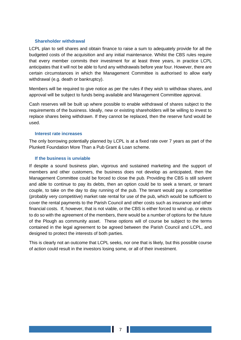#### **Shareholder withdrawal**

LCPL plan to sell shares and obtain finance to raise a sum to adequately provide for all the budgeted costs of the acquisition and any initial maintenance. Whilst the CBS rules require that every member commits their investment for at least three years, in practice LCPL anticipates that it will not be able to fund any withdrawals before year four. However, there are certain circumstances in which the Management Committee is authorised to allow early withdrawal (e.g. death or bankruptcy).

Members will be required to give notice as per the rules if they wish to withdraw shares, and approval will be subject to funds being available and Management Committee approval.

Cash reserves will be built up where possible to enable withdrawal of shares subject to the requirements of the business. Ideally, new or existing shareholders will be willing to invest to replace shares being withdrawn. If they cannot be replaced, then the reserve fund would be used.

#### **Interest rate increases**

The only borrowing potentially planned by LCPL is at a fixed rate over 7 years as part of the Plunkett Foundation More Than a Pub Grant & Loan scheme.

#### **If the business is unviable**

If despite a sound business plan, vigorous and sustained marketing and the support of members and other customers, the business does not develop as anticipated, then the Management Committee could be forced to close the pub. Providing the CBS is still solvent and able to continue to pay its debts, then an option could be to seek a tenant, or tenant couple, to take on the day to day running of the pub. The tenant would pay a competitive (probably very competitive) market rate rental for use of the pub, which would be sufficient to cover the rental payments to the Parish Council and other costs such as insurance and other financial costs. If, however, that is not viable, or the CBS is either forced to wind up, or elects to do so with the agreement of the members, there would be a number of options for the future of the Plough as community asset. These options will of course be subject to the terms contained in the legal agreement to be agreed between the Parish Council and LCPL, and designed to protect the interests of both parties.

This is clearly not an outcome that LCPL seeks, nor one that is likely, but this possible course of action could result in the investors losing some, or all of their investment.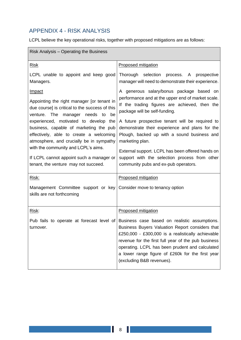# <span id="page-7-0"></span>APPENDIX 4 - RISK ANALYSIS

LCPL believe the key operational risks, together with proposed mitigations are as follows:

| Risk Analysis - Operating the Business                                                                                                                                                                                                                                                                                                                                                                                                                    |                                                                                                                                                                                                                                                                                                                                                                                                                                                                                                     |
|-----------------------------------------------------------------------------------------------------------------------------------------------------------------------------------------------------------------------------------------------------------------------------------------------------------------------------------------------------------------------------------------------------------------------------------------------------------|-----------------------------------------------------------------------------------------------------------------------------------------------------------------------------------------------------------------------------------------------------------------------------------------------------------------------------------------------------------------------------------------------------------------------------------------------------------------------------------------------------|
| <b>Risk</b>                                                                                                                                                                                                                                                                                                                                                                                                                                               | <b>Proposed mitigation</b>                                                                                                                                                                                                                                                                                                                                                                                                                                                                          |
| LCPL unable to appoint and keep good<br>Managers.                                                                                                                                                                                                                                                                                                                                                                                                         | Thorough selection process. A prospective<br>manager will need to demonstrate their experience.                                                                                                                                                                                                                                                                                                                                                                                                     |
| <u>Impact</u><br>Appointing the right manager [or tenant in<br>due course] is critical to the success of this<br>venture. The manager needs to<br>be<br>experienced, motivated to develop the<br>business, capable of marketing the pub<br>effectively, able to create a welcoming<br>atmosphere, and crucially be in sympathy<br>with the community and LCPL's aims.<br>If LCPL cannot appoint such a manager or<br>tenant, the venture may not succeed. | A generous salary/bonus package based on<br>performance and at the upper end of market scale.<br>If the trading figures are achieved, then the<br>package will be self-funding.<br>A future prospective tenant will be required to<br>demonstrate their experience and plans for the<br>Plough, backed up with a sound business and<br>marketing plan.<br>External support. LCPL has been offered hands on<br>support with the selection process from other<br>community pubs and ex-pub operators. |
| Risk:                                                                                                                                                                                                                                                                                                                                                                                                                                                     | <b>Proposed mitigation</b>                                                                                                                                                                                                                                                                                                                                                                                                                                                                          |
| Management Committee support or key Consider move to tenancy option<br>skills are not forthcoming                                                                                                                                                                                                                                                                                                                                                         |                                                                                                                                                                                                                                                                                                                                                                                                                                                                                                     |
| Risk:                                                                                                                                                                                                                                                                                                                                                                                                                                                     | <b>Proposed mitigation</b>                                                                                                                                                                                                                                                                                                                                                                                                                                                                          |
| Pub fails to operate at forecast level of<br>turnover.                                                                                                                                                                                                                                                                                                                                                                                                    | Business case based on realistic assumptions.<br>Business Buyers Valuation Report considers that<br>£250,000 - £300,000 is a realistically achievable<br>revenue for the first full year of the pub business<br>operating. LCPL has been prudent and calculated<br>a lower range figure of £260k for the first year<br>(excluding B&B revenues).                                                                                                                                                    |

Ш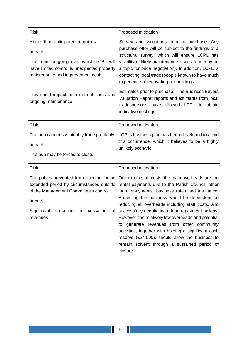| <b>Risk</b>                                                                                                                                                                                         | <b>Proposed mitigation</b>                                                                                                                                                                                                                                                                                                                                                                                                                                                                                                                                                                         |  |
|-----------------------------------------------------------------------------------------------------------------------------------------------------------------------------------------------------|----------------------------------------------------------------------------------------------------------------------------------------------------------------------------------------------------------------------------------------------------------------------------------------------------------------------------------------------------------------------------------------------------------------------------------------------------------------------------------------------------------------------------------------------------------------------------------------------------|--|
| Higher than anticipated outgoings.                                                                                                                                                                  | Survey and valuations prior to purchase. Any                                                                                                                                                                                                                                                                                                                                                                                                                                                                                                                                                       |  |
| Impact                                                                                                                                                                                              | purchase offer will be subject to the findings of a<br>structural survey, which will ensure LCPL has                                                                                                                                                                                                                                                                                                                                                                                                                                                                                               |  |
| The main outgoing over which LCPL will<br>have limited control is unexpected property<br>maintenance and improvement costs.                                                                         | visibility of likely maintenance issues (and may be<br>a topic for price negotiation). In addition, LCPL is<br>contacting local tradespeople known to have much<br>experience of renovating old buildings.                                                                                                                                                                                                                                                                                                                                                                                         |  |
| This could impact both upfront costs and<br>ongoing maintenance.                                                                                                                                    | Estimates prior to purchase. The Business Buyers<br>Valuation Report reports and estimates from local<br>tradespersons have allowed LCPL to obtain<br>indicative costings.                                                                                                                                                                                                                                                                                                                                                                                                                         |  |
| <b>Risk</b>                                                                                                                                                                                         | <b>Proposed mitigation</b>                                                                                                                                                                                                                                                                                                                                                                                                                                                                                                                                                                         |  |
| The pub cannot sustainably trade profitably.                                                                                                                                                        | LCPLs business plan has been developed to avoid                                                                                                                                                                                                                                                                                                                                                                                                                                                                                                                                                    |  |
| Impact                                                                                                                                                                                              | this occurrence, which it believes to be a highly<br>unlikely scenario.                                                                                                                                                                                                                                                                                                                                                                                                                                                                                                                            |  |
| The pub may be forced to close.                                                                                                                                                                     |                                                                                                                                                                                                                                                                                                                                                                                                                                                                                                                                                                                                    |  |
| <b>Risk</b>                                                                                                                                                                                         | <b>Proposed mitigation</b>                                                                                                                                                                                                                                                                                                                                                                                                                                                                                                                                                                         |  |
| The pub is prevented from opening for an<br>extended period by circumstances outside<br>of the Management Committee's control<br>Impact<br>Significant<br>reduction<br>cessation<br>or<br>revenues. | Other than staff costs, the main overheads are the<br>rental payments due to the Parish Council, other<br>loan repayments, business rates and insurance.<br>Protecting the business would be dependent on<br>reducing all overheads including staff costs, and<br>of successfully negotiating a loan repayment holiday.<br>However, the relatively low overheads and potential<br>to generate revenues from other community<br>activities, together with holding a significant cash<br>reserve (£24,000), should allow the business to<br>remain solvent through a sustained period of<br>closure. |  |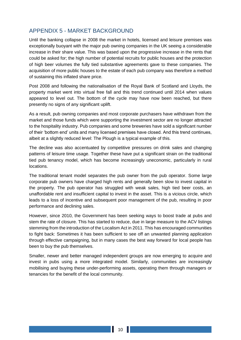# <span id="page-9-0"></span>APPENDIX 5 - MARKET BACKGROUND

Until the banking collapse in 2008 the market in hotels, licensed and leisure premises was exceptionally buoyant with the major pub owning companies in the UK seeing a considerable increase in their share value. This was based upon the progressive increase in the rents that could be asked for; the high number of potential recruits for public houses and the protection of high beer volumes the fully tied substantive agreements gave to these companies. The acquisition of more public houses to the estate of each pub company was therefore a method of sustaining this inflated share price.

Post 2008 and following the nationalisation of the Royal Bank of Scotland and Lloyds, the property market went into virtual free fall and this trend continued until 2014 when values appeared to level out. The bottom of the cycle may have now been reached, but there presently no signs of any significant uplift.

As a result, pub owning companies and most corporate purchasers have withdrawn from the market and those funds which were supporting the investment sector are no longer attracted to the hospitality industry. Pub companies and some breweries have sold a significant number of their 'bottom end' units and many licensed premises have closed. And this trend continues, albeit at a slightly reduced level: The Plough is a typical example of this.

The decline was also accentuated by competitive pressures on drink sales and changing patterns of leisure time usage. Together these have put a significant strain on the traditional tied pub tenancy model, which has become increasingly uneconomic, particularly in rural locations.

The traditional tenant model separates the pub owner from the pub operator. Some large corporate pub owners have charged high rents and generally been slow to invest capital in the property. The pub operator has struggled with weak sales, high tied beer costs, an unaffordable rent and insufficient capital to invest in the asset. This is a vicious circle, which leads to a loss of incentive and subsequent poor management of the pub, resulting in poor performance and declining sales.

However, since 2010, the Government has been seeking ways to boost trade at pubs and stem the rate of closure. This has started to reduce, due in large measure to the ACV listings stemming from the introduction of the Localism Act in 2011. This has encouraged communities to fight back: Sometimes it has been sufficient to see off an unwanted planning application through effective campaigning, but in many cases the best way forward for local people has been to buy the pub themselves.

Smaller, newer and better managed independent groups are now emerging to acquire and invest in pubs using a more integrated model. Similarly, communities are increasingly mobilising and buying these under-performing assets, operating them through managers or tenancies for the benefit of the local community.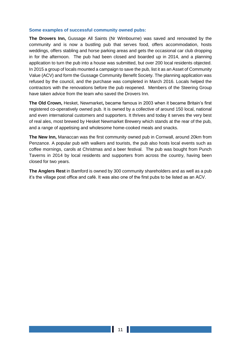#### **Some examples of successful community owned pubs:**

**The Drovers Inn,** Gussage All Saints (Nr Wimbourne) was saved and renovated by the community and is now a bustling pub that serves food, offers accommodation, hosts weddings, offers stabling and horse parking areas and gets the occasional car club dropping in for the afternoon. The pub had been closed and boarded up in 2014, and a planning application to turn the pub into a house was submitted, but over 200 local residents objected. In 2015 a group of locals mounted a campaign to save the pub, list it as an Asset of Community Value (ACV) and form the Gussage Community Benefit Society. The planning application was refused by the council, and the purchase was completed in March 2016. Locals helped the contractors with the renovations before the pub reopened. Members of the Steering Group have taken advice from the team who saved the Drovers Inn.

**The Old Crown,** Hesket, Newmarket**,** became famous in 2003 when it became Britain's first registered co-operatively owned pub. It is owned by a collective of around 150 local, national and even international customers and supporters. It thrives and today it serves the very best of real ales, most brewed by Hesket Newmarket Brewery which stands at the rear of the pub, and a range of appetising and wholesome home-cooked meals and snacks.

**The New Inn,** Manaccan was the first community owned pub in Cornwall, around 20km from Penzance. A popular pub with walkers and tourists, the pub also hosts local events such as coffee mornings, carols at Christmas and a beer festival. The pub was bought from Punch Taverns in 2014 by local residents and supporters from across the country, having been closed for two years.

**The Anglers Rest** in Bamford is owned by 300 community shareholders and as well as a pub it's the village post office and café. It was also one of the first pubs to be listed as an ACV.

Ш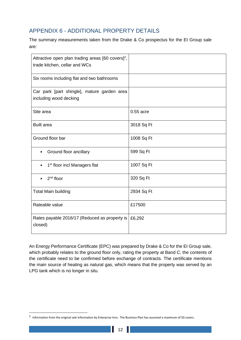# <span id="page-11-0"></span>APPENDIX 6 - ADDITIONAL PROPERTY DETAILS

The summary measurements taken from the Drake & Co prospectus for the EI Group sale are:

| Attractive open plan trading areas [60 covers] <sup>2</sup> ,<br>trade kitchen, cellar and WCs |            |
|------------------------------------------------------------------------------------------------|------------|
| Six rooms including flat and two bathrooms                                                     |            |
| Car park [part shingle], mature garden area<br>including wood decking                          |            |
| Site area                                                                                      | 0.55 acre  |
| <b>Built area</b>                                                                              | 3018 Sq Ft |
| Ground floor bar                                                                               | 1008 Sq Ft |
| Ground floor ancillary                                                                         | 599 Sq Ft  |
| 1 <sup>st</sup> floor incl Managers flat                                                       | 1007 Sq Ft |
| $2nd$ floor                                                                                    | 320 Sq Ft  |
| <b>Total Main building</b>                                                                     | 2934 Sq Ft |
| Rateable value                                                                                 | £17500     |
| Rates payable 2016/17 (Reduced as property is<br>closed)                                       | £6,292     |

An Energy Performance Certificate (EPC) was prepared by Drake & Co for the EI Group sale, which probably relates to the ground floor only, rating the property at Band C; the contents of the certificate need to be confirmed before exchange of contracts. The certificate mentions the main source of heating as natural gas, which means that the property was served by an LPG tank which is no longer in situ.

П

 $^2$  Information from the original sale information by Enterprise Inns. The Business Plan has assumed a maximum of 50 covers.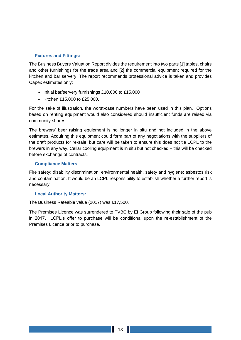#### **Fixtures and Fittings:**

The Business Buyers Valuation Report divides the requirement into two parts [1] tables, chairs and other furnishings for the trade area and [2] the commercial equipment required for the kitchen and bar servery. The report recommends professional advice is taken and provides Capex estimates only:

- Initial bar/servery furnishings £10,000 to £15,000
- Kitchen £15,000 to £25,000.

For the sake of illustration, the worst-case numbers have been used in this plan. Options based on renting equipment would also considered should insufficient funds are raised via community shares..

The brewers' beer raising equipment is no longer in situ and not included in the above estimates. Acquiring this equipment could form part of any negotiations with the suppliers of the draft products for re-sale, but care will be taken to ensure this does not tie LCPL to the brewers in any way. Cellar cooling equipment is in situ but not checked – this will be checked before exchange of contracts.

# **Compliance Matters**

Fire safety; disability discrimination; environmental health, safety and hygiene; asbestos risk and contamination. It would be an LCPL responsibility to establish whether a further report is necessary.

#### **Local Authority Matters:**

The Business Rateable value (2017) was £17,500.

The Premises Licence was surrendered to TVBC by EI Group following their sale of the pub in 2017. LCPL's offer to purchase will be conditional upon the re-establishment of the Premises Licence prior to purchase.

Ш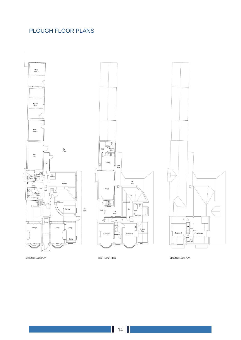# <span id="page-13-0"></span>PLOUGH FLOOR PLANS







GROUND FLOOR PLAN

FIRST FLOOR PLAN

SECOND FLOOR PLAN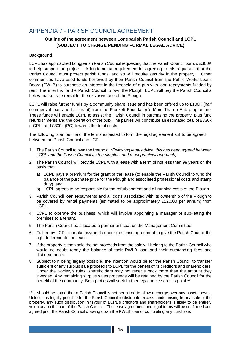# <span id="page-14-0"></span>APPENDIX 7 - PARISH COUNCIL AGREEMENT

# **Outline of the agreement between Longparish Parish Council and LCPL (SUBJECT TO CHANGE PENDING FORMAL LEGAL ADVICE)**

#### **Background**

LCPL has approached Longparish Parish Council requesting that the Parish Council borrow £300K to help support the project. A fundamental requirement for agreeing to this request is that the Parish Council must protect parish funds, and so will require security in the property. Other communities have used funds borrowed by their Parish Council from the Public Works Loans Board (PWLB) to purchase an interest in the freehold of a pub with loan repayments funded by rent. The intent is for the Parish Council to own the Plough. LCPL will pay the Parish Council a below market rate rental for the exclusive use of the Plough.

LCPL will raise further funds by a community share issue and has been offered up to £100K (half commercial loan and half grant) from the Plunkett Foundation's More Than a Pub programme. These funds will enable LCPL to assist the Parish Council in purchasing the property, plus fund refurbishments and the operation of the pub. The parties will contribute an estimated total of £330k (LCPL) and £300k (PC) towards the total costs.

The following is an outline of the terms expected to form the legal agreement still to be agreed between the Parish Council and LCPL.

- 1. The Parish Council to own the freehold. *(Following legal advice, this has been agreed between LCPL and the Parish Council as the simplest and most practical approach)*
- 2. The Parish Council will provide LCPL with a lease with a term of not less than 99 years on the basis that:
	- a) LCPL pays a premium for the grant of the lease (to enable the Parish Council to fund the balance of the purchase price for the Plough and associated professional costs and stamp duty); and
	- b) LCPL agrees to be responsible for the refurbishment and all running costs of the Plough.
- 3. Parish Council loan repayments and all costs associated with its ownership of the Plough to be covered by rental payments (estimated to be approximately £12,000 per annum) from LCPL.
- 4. LCPL to operate the business, which will involve appointing a manager or sub-letting the premises to a tenant.
- 5. The Parish Council be allocated a permanent seat on the Management Committee.
- 6. Failure by LCPL to make payments under the lease agreement to give the Parish Council the right to terminate the lease.
- 7. If the property is then sold the net proceeds from the sale will belong to the Parish Council who would no doubt repay the balance of their PWLB loan and their outstanding fees and disbursements.
- 8. Subject to it being legally possible, the intention would be for the Parish Council to transfer sufficient of any surplus sale proceeds to LCPL for the benefit of its creditors and shareholders. Under the Society's rules, shareholders may not receive back more than the amount they invested. Any remaining surplus sales proceeds will be retained by the Parish Council for the benefit of the community. Both parties will seek further legal advice on this point.\*\*

\*\* It should be noted that a Parish Council is not permitted to allow a charge over any asset it owns. Unless it is legally possible for the Parish Council to distribute excess funds arising from a sale of the property, any such distribution in favour of LCPL's creditors and shareholders is likely to be entirely voluntary on the part of the Parish Council. The lease agreement and legal terms will be confirmed and agreed prior the Parish Council drawing down the PWLB loan or completing any purchase.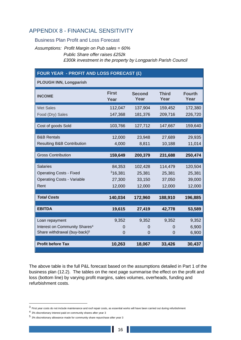# <span id="page-15-0"></span>APPENDIX 8 - FINANCIAL SENSITIVITY

Business Plan Profit and Loss Forecast

*Assumptions: Profit Margin on Pub sales = 60% Public Share offer raises £252k £300k investment in the property by Longparish Parish Council*

# **FOUR YEAR - PROFIT AND LOSS FORECAST (£)**

**PLOUGH INN, Longparish**

| <b>First</b><br>Year | <b>Second</b><br>Year                     | <b>Third</b><br>Year               | <b>Fourth</b><br>Year                     |
|----------------------|-------------------------------------------|------------------------------------|-------------------------------------------|
| 112,047              | 137,904                                   | 159,452                            | 172,380                                   |
| 147,368              | 181,376                                   | 209,716                            | 226,720                                   |
|                      |                                           |                                    |                                           |
|                      |                                           |                                    | 159,640                                   |
| 12,000               | 23,948                                    | 27,689                             | 29,935                                    |
| 4,000                | 8,811                                     | 10,188                             | 11,014                                    |
|                      |                                           |                                    |                                           |
|                      |                                           |                                    | 250,474                                   |
| 84,353               | 102,428                                   | 114,479                            | 120,504                                   |
| <sup>3</sup> 16,381  | 25,381                                    | 25,381                             | 25,381                                    |
| 27,300               | 33,150                                    | 37,050                             | 39,000                                    |
| 12,000               | 12,000                                    | 12,000                             | 12,000                                    |
|                      |                                           |                                    |                                           |
|                      |                                           |                                    | 196,885                                   |
| 19,615               | 27,419                                    | 42,778                             | 53,589                                    |
|                      |                                           |                                    |                                           |
| 9,352                | 9,352                                     | 9,352                              | 9,352                                     |
| 0                    | 0                                         | 0                                  | 6,900                                     |
|                      |                                           |                                    | 6,900                                     |
| 10,263               | 18,067                                    | 33,426                             | 30,437                                    |
|                      | 103,766<br>159,649<br>140,034<br>$\Omega$ | 127,712<br>200,379<br>172,960<br>0 | 147,667<br>231,688<br>188,910<br>$\Omega$ |

The above table is the full P&L forecast based on the assumptions detailed in Part 1 of the business plan (12.2). The tables on the next page summarise the effect on the profit and loss (bottom line) by varying profit margins, sales volumes, overheads, funding and refurbishment costs.

 $^3$  First year costs do not include maintenance and roof repair costs, as essential works will have been carried out during refurbishment

 $<sup>4</sup>$  3% discretionary interest paid on community shares after year 3</sup>

<sup>5</sup> 3% discretionary allowance made for community share repurchase after year 3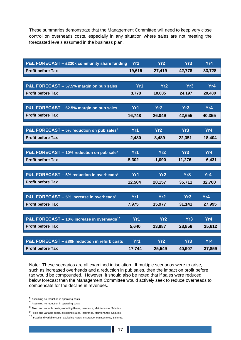These summaries demonstrate that the Management Committee will need to keep very close control on overheads costs, especially in any situation where sales are not meeting the forecasted levels assumed in the business plan.

| P&L FORECAST - £330k community share funding           | Yr1      | Yr <sub>2</sub> | Yr3             | Yr4    |
|--------------------------------------------------------|----------|-----------------|-----------------|--------|
| <b>Profit before Tax</b>                               | 19,615   | 27,419          | 42,778          | 33,728 |
|                                                        |          |                 |                 |        |
| P&L FORECAST - 57.5% margin on pub sales               | Yr1      | Yr <sub>2</sub> | Yr3             | Yr4    |
| <b>Profit before Tax</b>                               | 3,778    | 10,085          | 24,197          | 20,400 |
|                                                        |          |                 |                 |        |
| P&L FORECAST - 62.5% margin on pub sales               | Yr1      | Yr <sub>2</sub> | Yr3             | Yr4    |
| <b>Profit before Tax</b>                               | 16,748   | 26.049          | 42,655          | 40,355 |
|                                                        |          |                 |                 |        |
| P&L FORECAST - 5% reduction on pub sales <sup>6</sup>  | Yr1      | Yr2             | Yr3             | Yr4    |
| <b>Profit before Tax</b>                               | 2,480    | 8,489           | 22,351          | 18,404 |
|                                                        |          |                 |                 |        |
| P&L FORECAST - 10% reduction on pub sale <sup>7</sup>  | Yr1      | Yr2             | Yr3             | Yr4    |
| <b>Profit before Tax</b>                               | $-5,302$ | $-1,090$        | 11,276          | 6,431  |
|                                                        |          |                 |                 |        |
| P&L FORECAST - 5% reduction in overheads <sup>8</sup>  | Yr1      | Yr2             | Yr3             | Yr4    |
| <b>Profit before Tax</b>                               | 12,504   | 20,157          | 35,711          | 32,760 |
| P&L FORECAST - 5% increase in overheads <sup>9</sup>   | Yr1      | Yr2             | Yr3             | Yr4    |
| <b>Profit before Tax</b>                               | 7,975    | 15,977          | 31,141          | 27,995 |
|                                                        |          |                 |                 |        |
| P&L FORECAST - 10% increase in overheads <sup>10</sup> | Yr1      | Yr <sub>2</sub> | Yr <sub>3</sub> | Yr4    |
| <b>Profit before Tax</b>                               | 5,640    | 13,887          | 28,856          | 25,612 |
|                                                        |          |                 |                 |        |
| P&L FORECAST - £80k reduction in refurb costs          | Yr1      | Yr <sub>2</sub> | Yr3             | Yr4    |
| <b>Profit before Tax</b>                               | 17,744   | 25,549          | 40,907          | 37,859 |

Note: These scenarios are all examined in isolation. If multiple scenarios were to arise, such as increased overheads and a reduction in pub sales, then the impact on profit before tax would be compounded. However, it should also be noted that if sales were reduced below forecast then the Management Committee would actively seek to reduce overheads to compensate for the decline in revenues.

<sup>6</sup> Assuming no reduction in operating costs.

<sup>7</sup> Assuming no reduction in operating costs.

<sup>8</sup> Fixed and variable costs, excluding Rates, Insurance, Maintenance, Salaries.

<sup>&</sup>lt;sup>9</sup> Fixed and variable costs, excluding Rates, Insurance, Maintenance, Salaries.

 $10$  Fixed and variable costs, excluding Rates, Insurance, Maintenance, Salaries.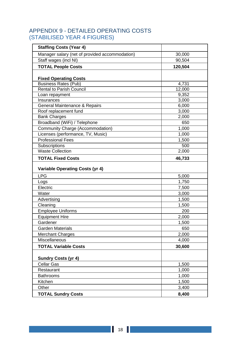# <span id="page-17-0"></span>APPENDIX 9 - DETAILED OPERATING COSTS (STABILISED YEAR 4 FIGURES)

| <b>Staffing Costs (Year 4)</b>                 |         |
|------------------------------------------------|---------|
| Manager salary (net of provided accommodation) | 30,000  |
| Staff wages (incl NI)                          | 90,504  |
| <b>TOTAL People Costs</b>                      | 120,504 |
|                                                |         |
| <b>Fixed Operating Costs</b>                   |         |
| <b>Business Rates (Pub)</b>                    | 4,731   |
| <b>Rental to Parish Council</b>                | 12,000  |
| Loan repayment                                 | 9,352   |
| Insurances                                     | 3,000   |
| General Maintenance & Repairs                  | 6,000   |
| Roof replacement fund                          | 3,000   |
| <b>Bank Charges</b>                            | 2,000   |
| Broadband (WiFi) / Telephone                   | 650     |
| <b>Community Charge (Accommodation)</b>        | 1,000   |
| Licenses (performance, TV, Music)              | 1,000   |
| <b>Professional Fees</b>                       | 1,500   |
| Subscriptions                                  | 500     |
| <b>Waste Collection</b>                        | 2,000   |
| <b>TOTAL Fixed Costs</b>                       | 46,733  |
| <b>Variable Operating Costs (yr 4)</b>         |         |
| <b>LPG</b>                                     | 5,000   |
| Logs                                           | 1,750   |
| Electric                                       | 7,500   |
| Water                                          | 3,000   |
| Advertising                                    | 1,500   |
| Cleaning                                       | 1,500   |
| <b>Employee Uniforms</b>                       | 200     |
| <b>Equipment Hire</b>                          | 2,000   |
| Gardener                                       | 1,500   |
| <b>Garden Materials</b>                        | 650     |
| <b>Merchant Charges</b>                        | 2,000   |
| Miscellaneous                                  | 4,000   |
| <b>TOTAL Variable Costs</b>                    | 30,600  |
|                                                |         |
| <b>Sundry Costs (yr 4)</b>                     |         |
| <b>Cellar Gas</b>                              | 1,500   |
| Restaurant                                     | 1,000   |
| <b>Bathrooms</b>                               | 1,000   |
| Kitchen                                        | 1,500   |
| Other                                          | 3,400   |
| <b>TOTAL Sundry Costs</b>                      | 8,400   |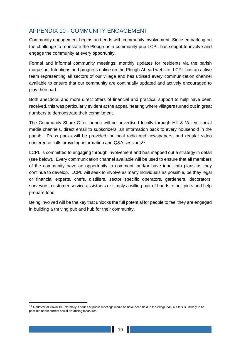# <span id="page-18-0"></span>APPENDIX 10 - COMMUNITY ENGAGEMENT

Community engagement begins and ends with community involvement. Since embarking on the challenge to re-instate the Plough as a community pub LCPL has sought to involve and engage the community at every opportunity.

Formal and informal community meetings; monthly updates for residents via the parish magazine; Intentions and progress online on the Plough Ahead website. LCPL has an active team representing all sectors of our village and has utilised every communication channel available to ensure that our community are continually updated and actively encouraged to play their part.

Both anecdotal and more direct offers of financial and practical support to help have been received, this was particularly evident at the appeal hearing where villagers turned out in great numbers to demonstrate their commitment.

The Community Share Offer launch will be advertised locally through Hill & Valley, social media channels, direct email to subscribers, an information pack to every household in the parish. Press packs will be provided for local radio and newspapers, and regular video conference calls providing information and Q&A sessions<sup>11</sup>.

LCPL is committed to engaging through involvement and has mapped out a strategy in detail (see below). Every communication channel available will be used to ensure that all members of the community have an opportunity to comment, and/or have input into plans as they continue to develop. LCPL will seek to involve as many individuals as possible, be they legal or financial experts, chefs, distillers, sector specific operators, gardeners, decorators, surveyors, customer service assistants or simply a willing pair of hands to pull pints and help prepare food.

Being involved will be the key that unlocks the full potential for people to feel they are engaged in building a thriving pub and hub for their community.

<sup>&</sup>lt;sup>11</sup> Updated for Covid-19. Normally a series of public meetings would be have been held in the village hall, but this is unlikely to be possible under current social distancing measures